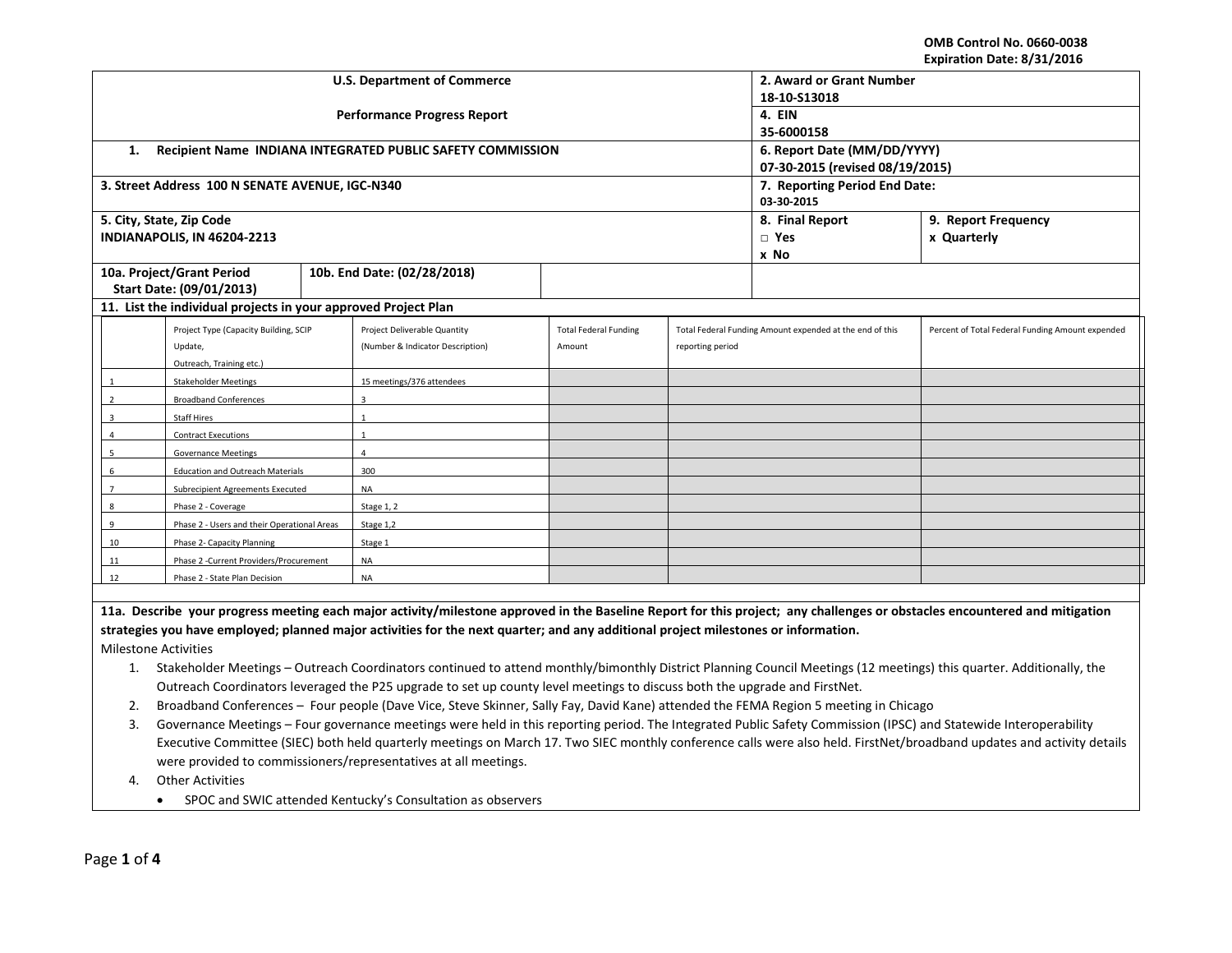## **OMB Control No. 0660-0038 Expiration Date: 8/31/2016**

|                                                                                                                                                                            |                                                                                                                                                                           |           | <b>U.S. Department of Commerce</b>                                                                                        | 2. Award or Grant Number        |                  |                                                          |                                                  |  |
|----------------------------------------------------------------------------------------------------------------------------------------------------------------------------|---------------------------------------------------------------------------------------------------------------------------------------------------------------------------|-----------|---------------------------------------------------------------------------------------------------------------------------|---------------------------------|------------------|----------------------------------------------------------|--------------------------------------------------|--|
|                                                                                                                                                                            |                                                                                                                                                                           |           |                                                                                                                           | 18-10-S13018                    |                  |                                                          |                                                  |  |
|                                                                                                                                                                            |                                                                                                                                                                           |           | <b>Performance Progress Report</b>                                                                                        | 4. EIN                          |                  |                                                          |                                                  |  |
|                                                                                                                                                                            |                                                                                                                                                                           |           |                                                                                                                           | 35-6000158                      |                  |                                                          |                                                  |  |
| 1.                                                                                                                                                                         |                                                                                                                                                                           |           | Recipient Name INDIANA INTEGRATED PUBLIC SAFETY COMMISSION                                                                | 6. Report Date (MM/DD/YYYY)     |                  |                                                          |                                                  |  |
|                                                                                                                                                                            |                                                                                                                                                                           |           |                                                                                                                           | 07-30-2015 (revised 08/19/2015) |                  |                                                          |                                                  |  |
|                                                                                                                                                                            | 3. Street Address 100 N SENATE AVENUE, IGC-N340                                                                                                                           |           |                                                                                                                           | 7. Reporting Period End Date:   |                  |                                                          |                                                  |  |
|                                                                                                                                                                            |                                                                                                                                                                           |           |                                                                                                                           | 03-30-2015                      |                  |                                                          |                                                  |  |
|                                                                                                                                                                            | 5. City, State, Zip Code                                                                                                                                                  |           |                                                                                                                           |                                 |                  | 8. Final Report                                          | 9. Report Frequency                              |  |
|                                                                                                                                                                            | INDIANAPOLIS, IN 46204-2213                                                                                                                                               |           |                                                                                                                           |                                 |                  | $\Box$ Yes                                               | x Quarterly                                      |  |
|                                                                                                                                                                            |                                                                                                                                                                           |           |                                                                                                                           |                                 |                  | x No                                                     |                                                  |  |
|                                                                                                                                                                            | 10a. Project/Grant Period                                                                                                                                                 |           | 10b. End Date: (02/28/2018)                                                                                               |                                 |                  |                                                          |                                                  |  |
|                                                                                                                                                                            | Start Date: (09/01/2013)                                                                                                                                                  |           |                                                                                                                           |                                 |                  |                                                          |                                                  |  |
|                                                                                                                                                                            | 11. List the individual projects in your approved Project Plan                                                                                                            |           |                                                                                                                           |                                 |                  |                                                          |                                                  |  |
|                                                                                                                                                                            | Project Type (Capacity Building, SCIP                                                                                                                                     |           | Project Deliverable Quantity                                                                                              | <b>Total Federal Funding</b>    |                  | Total Federal Funding Amount expended at the end of this | Percent of Total Federal Funding Amount expended |  |
|                                                                                                                                                                            | Update,                                                                                                                                                                   |           | (Number & Indicator Description)                                                                                          | Amount                          | reporting period |                                                          |                                                  |  |
|                                                                                                                                                                            | Outreach, Training etc.)                                                                                                                                                  |           |                                                                                                                           |                                 |                  |                                                          |                                                  |  |
|                                                                                                                                                                            | <b>Stakeholder Meetings</b>                                                                                                                                               |           | 15 meetings/376 attendees                                                                                                 |                                 |                  |                                                          |                                                  |  |
| $\overline{2}$                                                                                                                                                             | <b>Broadband Conferences</b>                                                                                                                                              |           | $\overline{3}$                                                                                                            |                                 |                  |                                                          |                                                  |  |
|                                                                                                                                                                            | <b>Staff Hires</b>                                                                                                                                                        |           |                                                                                                                           |                                 |                  |                                                          |                                                  |  |
|                                                                                                                                                                            | <b>Contract Executions</b>                                                                                                                                                |           | $\overline{1}$                                                                                                            |                                 |                  |                                                          |                                                  |  |
| 5                                                                                                                                                                          | <b>Governance Meetings</b>                                                                                                                                                |           | 4                                                                                                                         |                                 |                  |                                                          |                                                  |  |
| 6                                                                                                                                                                          | <b>Education and Outreach Materials</b>                                                                                                                                   |           | 300                                                                                                                       |                                 |                  |                                                          |                                                  |  |
|                                                                                                                                                                            | <b>Subrecipient Agreements Executed</b>                                                                                                                                   |           | <b>NA</b>                                                                                                                 |                                 |                  |                                                          |                                                  |  |
| 8<br>Phase 2 - Coverage                                                                                                                                                    |                                                                                                                                                                           |           | Stage 1, 2                                                                                                                |                                 |                  |                                                          |                                                  |  |
| Phase 2 - Users and their Operational Areas<br>$\mathbf{q}$                                                                                                                |                                                                                                                                                                           | Stage 1,2 |                                                                                                                           |                                 |                  |                                                          |                                                  |  |
| 10                                                                                                                                                                         | Phase 2- Capacity Planning                                                                                                                                                |           | Stage 1                                                                                                                   |                                 |                  |                                                          |                                                  |  |
| 11                                                                                                                                                                         | Phase 2 -Current Providers/Procurement                                                                                                                                    |           | <b>NA</b>                                                                                                                 |                                 |                  |                                                          |                                                  |  |
| 12<br>Phase 2 - State Plan Decision                                                                                                                                        |                                                                                                                                                                           | <b>NA</b> |                                                                                                                           |                                 |                  |                                                          |                                                  |  |
|                                                                                                                                                                            |                                                                                                                                                                           |           |                                                                                                                           |                                 |                  |                                                          |                                                  |  |
| 11a. Describe your progress meeting each major activity/milestone approved in the Baseline Report for this project; any challenges or obstacles encountered and mitigation |                                                                                                                                                                           |           |                                                                                                                           |                                 |                  |                                                          |                                                  |  |
| strategies you have employed; planned major activities for the next quarter; and any additional project milestones or information.                                         |                                                                                                                                                                           |           |                                                                                                                           |                                 |                  |                                                          |                                                  |  |
| <b>Milestone Activities</b>                                                                                                                                                |                                                                                                                                                                           |           |                                                                                                                           |                                 |                  |                                                          |                                                  |  |
|                                                                                                                                                                            | Stakeholder Meetings - Outreach Coordinators continued to attend monthly/bimonthly District Planning Council Meetings (12 meetings) this quarter. Additionally, the<br>1. |           |                                                                                                                           |                                 |                  |                                                          |                                                  |  |
|                                                                                                                                                                            |                                                                                                                                                                           |           | Outreach Coordinators leveraged the P25 upgrade to set up county level meetings to discuss both the upgrade and FirstNet. |                                 |                  |                                                          |                                                  |  |
| 2.                                                                                                                                                                         | Broadband Conferences - Four people (Dave Vice, Steve Skinner, Sally Fay, David Kane) attended the FEMA Region 5 meeting in Chicago                                       |           |                                                                                                                           |                                 |                  |                                                          |                                                  |  |

3. Governance Meetings – Four governance meetings were held in this reporting period. The Integrated Public Safety Commission (IPSC) and Statewide Interoperability Executive Committee (SIEC) both held quarterly meetings on March 17. Two SIEC monthly conference calls were also held. FirstNet/broadband updates and activity details were provided to commissioners/representatives at all meetings.

4. Other Activities

• SPOC and SWIC attended Kentucky's Consultation as observers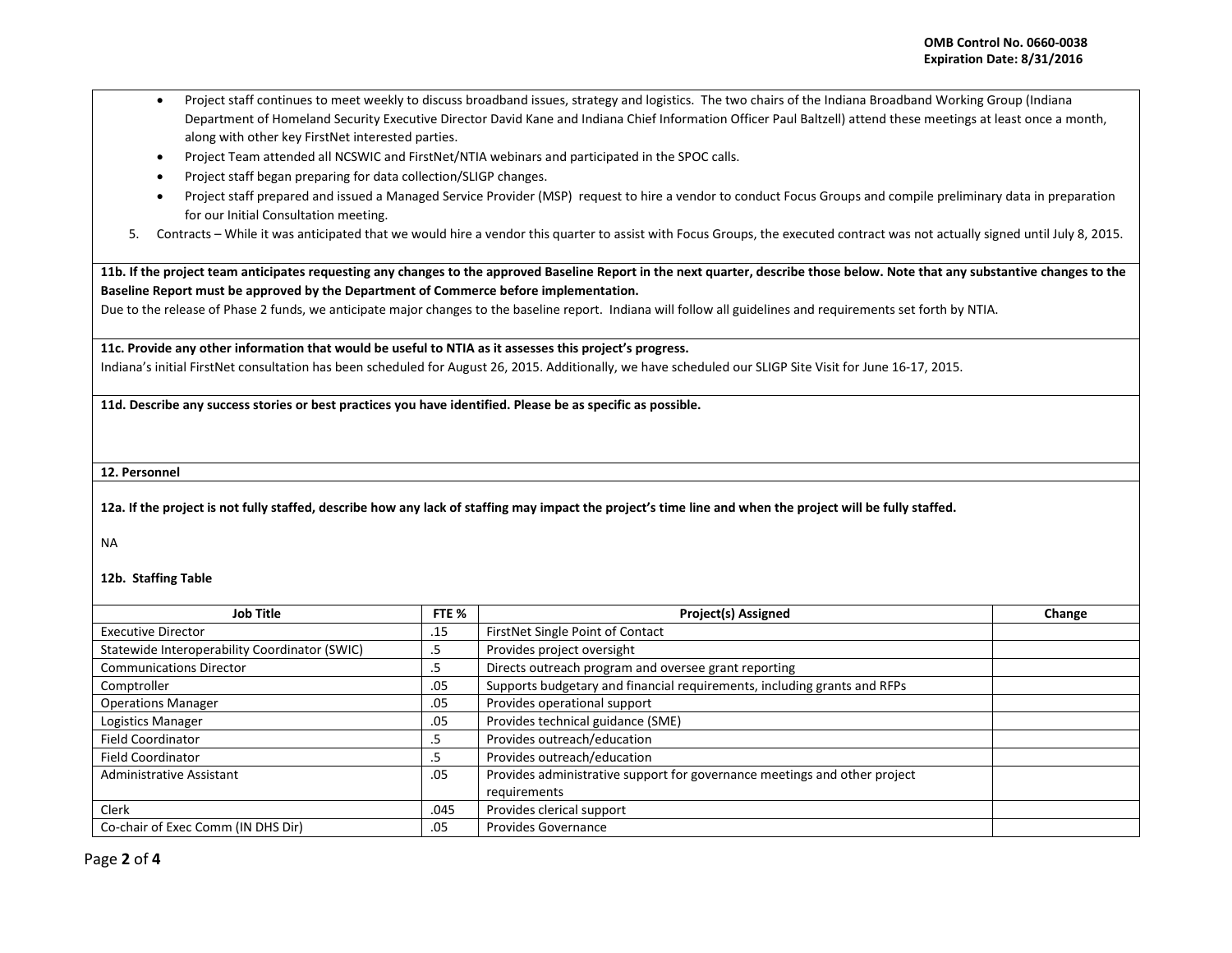- Project staff continues to meet weekly to discuss broadband issues, strategy and logistics. The two chairs of the Indiana Broadband Working Group (Indiana Department of Homeland Security Executive Director David Kane and Indiana Chief Information Officer Paul Baltzell) attend these meetings at least once a month, along with other key FirstNet interested parties.
- Project Team attended all NCSWIC and FirstNet/NTIA webinars and participated in the SPOC calls.
- Project staff began preparing for data collection/SLIGP changes.
- Project staff prepared and issued a Managed Service Provider (MSP) request to hire a vendor to conduct Focus Groups and compile preliminary data in preparation for our Initial Consultation meeting.
- 5. Contracts While it was anticipated that we would hire a vendor this quarter to assist with Focus Groups, the executed contract was not actually signed until July 8, 2015.

**11b. If the project team anticipates requesting any changes to the approved Baseline Report in the next quarter, describe those below. Note that any substantive changes to the Baseline Report must be approved by the Department of Commerce before implementation.** 

Due to the release of Phase 2 funds, we anticipate major changes to the baseline report. Indiana will follow all guidelines and requirements set forth by NTIA.

**11c. Provide any other information that would be useful to NTIA as it assesses this project's progress.** 

Indiana's initial FirstNet consultation has been scheduled for August 26, 2015. Additionally, we have scheduled our SLIGP Site Visit for June 16-17, 2015.

**11d. Describe any success stories or best practices you have identified. Please be as specific as possible.**

**12. Personnel** 

**12a. If the project is not fully staffed, describe how any lack of staffing may impact the project's time line and when the project will be fully staffed.**

NA

## **12b. Staffing Table**

| Job Title                                     | FTE % | <b>Project(s) Assigned</b>                                                | Change |
|-----------------------------------------------|-------|---------------------------------------------------------------------------|--------|
| <b>Executive Director</b>                     | .15   | FirstNet Single Point of Contact                                          |        |
| Statewide Interoperability Coordinator (SWIC) | د.    | Provides project oversight                                                |        |
| <b>Communications Director</b>                | כ.    | Directs outreach program and oversee grant reporting                      |        |
| Comptroller                                   | .05   | Supports budgetary and financial requirements, including grants and RFPs  |        |
| <b>Operations Manager</b>                     | .05   | Provides operational support                                              |        |
| Logistics Manager                             | .05   | Provides technical guidance (SME)                                         |        |
| <b>Field Coordinator</b>                      | د.    | Provides outreach/education                                               |        |
| <b>Field Coordinator</b>                      | .5    | Provides outreach/education                                               |        |
| Administrative Assistant                      | .05   | Provides administrative support for governance meetings and other project |        |
|                                               |       | requirements                                                              |        |
| <b>Clerk</b>                                  | .045  | Provides clerical support                                                 |        |
| Co-chair of Exec Comm (IN DHS Dir)            | .05   | <b>Provides Governance</b>                                                |        |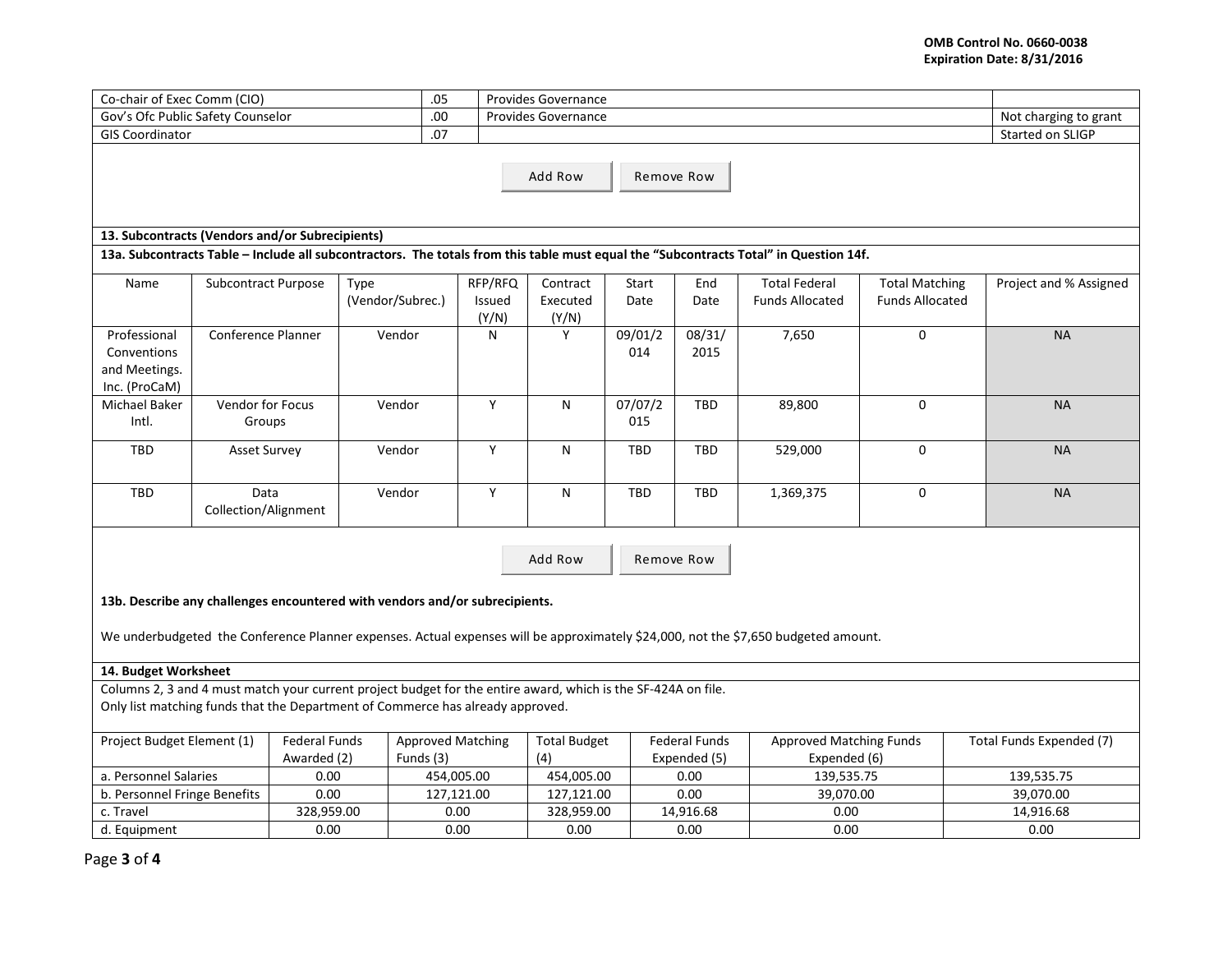| Co-chair of Exec Comm (CIO)                                                                                                                                                                     |                            |                                       |                  |                            | <b>Provides Governance</b>    |                                      |                                                |                                                |                                                 |                        |
|-------------------------------------------------------------------------------------------------------------------------------------------------------------------------------------------------|----------------------------|---------------------------------------|------------------|----------------------------|-------------------------------|--------------------------------------|------------------------------------------------|------------------------------------------------|-------------------------------------------------|------------------------|
| .05<br>.00<br>Gov's Ofc Public Safety Counselor                                                                                                                                                 |                            |                                       |                  |                            | Provides Governance           |                                      |                                                |                                                |                                                 |                        |
| .07<br><b>GIS Coordinator</b>                                                                                                                                                                   |                            |                                       |                  |                            |                               |                                      |                                                |                                                |                                                 |                        |
| Started on SLIGP<br>Add Row<br>Remove Row                                                                                                                                                       |                            |                                       |                  |                            |                               |                                      |                                                |                                                |                                                 |                        |
| 13. Subcontracts (Vendors and/or Subrecipients)                                                                                                                                                 |                            |                                       |                  |                            |                               |                                      |                                                |                                                |                                                 |                        |
| 13a. Subcontracts Table - Include all subcontractors. The totals from this table must equal the "Subcontracts Total" in Question 14f.                                                           |                            |                                       |                  |                            |                               |                                      |                                                |                                                |                                                 |                        |
| Name                                                                                                                                                                                            | <b>Subcontract Purpose</b> | Type                                  | (Vendor/Subrec.) | RFP/RFQ<br>Issued<br>(Y/N) | Contract<br>Executed<br>(Y/N) | Start<br>Date                        | End<br>Date                                    | <b>Total Federal</b><br><b>Funds Allocated</b> | <b>Total Matching</b><br><b>Funds Allocated</b> | Project and % Assigned |
| Professional<br>Conventions<br>and Meetings.<br>Inc. (ProCaM)                                                                                                                                   | Conference Planner         |                                       | Vendor           | N                          | Y                             | 09/01/2<br>014                       | 08/31/<br>2015                                 | 7,650                                          | $\mathbf 0$                                     | <b>NA</b>              |
| Michael Baker<br>Intl.                                                                                                                                                                          | Vendor for Focus<br>Groups |                                       | Vendor           | Y                          | N                             | 07/07/2<br>015                       | <b>TBD</b>                                     | 89,800                                         | $\mathbf{0}$                                    | <b>NA</b>              |
| <b>TBD</b>                                                                                                                                                                                      | <b>Asset Survey</b>        |                                       | Vendor           | Y                          | N                             | <b>TBD</b>                           | <b>TBD</b>                                     | 529,000                                        | $\mathbf 0$                                     | <b>NA</b>              |
| <b>TBD</b><br>Data<br>Collection/Alignment                                                                                                                                                      |                            |                                       | Vendor           | Y                          | N                             | <b>TBD</b>                           | TBD                                            | 1,369,375                                      | $\mathbf 0$                                     | <b>NA</b>              |
| Add Row<br>Remove Row<br>13b. Describe any challenges encountered with vendors and/or subrecipients.                                                                                            |                            |                                       |                  |                            |                               |                                      |                                                |                                                |                                                 |                        |
| We underbudgeted the Conference Planner expenses. Actual expenses will be approximately \$24,000, not the \$7,650 budgeted amount.                                                              |                            |                                       |                  |                            |                               |                                      |                                                |                                                |                                                 |                        |
| 14. Budget Worksheet                                                                                                                                                                            |                            |                                       |                  |                            |                               |                                      |                                                |                                                |                                                 |                        |
| Columns 2, 3 and 4 must match your current project budget for the entire award, which is the SF-424A on file.<br>Only list matching funds that the Department of Commerce has already approved. |                            |                                       |                  |                            |                               |                                      |                                                |                                                |                                                 |                        |
| Project Budget Element (1)<br><b>Federal Funds</b><br>Awarded (2)                                                                                                                               |                            | <b>Approved Matching</b><br>Funds (3) |                  | <b>Total Budget</b><br>(4) |                               | <b>Federal Funds</b><br>Expended (5) | <b>Approved Matching Funds</b><br>Expended (6) |                                                | Total Funds Expended (7)                        |                        |
| a. Personnel Salaries                                                                                                                                                                           |                            | 0.00                                  |                  | 454,005.00                 | 454,005.00                    |                                      | 0.00                                           | 139,535.75                                     |                                                 | 139,535.75             |
| b. Personnel Fringe Benefits                                                                                                                                                                    |                            | 0.00                                  | 127,121.00       |                            | 127,121.00                    |                                      | 0.00                                           | 39,070.00                                      |                                                 | 39,070.00              |
| c. Travel                                                                                                                                                                                       |                            | 328,959.00                            |                  | 0.00                       | 328,959.00                    |                                      | 14,916.68                                      | 0.00                                           |                                                 | 14,916.68              |
| d. Equipment                                                                                                                                                                                    |                            | 0.00                                  |                  | 0.00                       | 0.00                          |                                      | 0.00                                           | 0.00                                           |                                                 | 0.00                   |